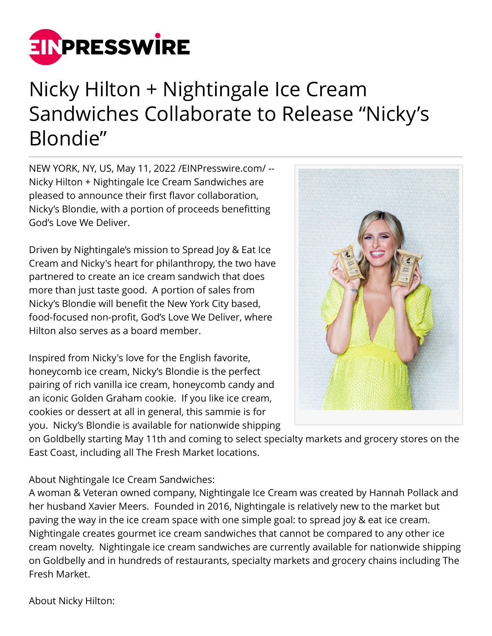

## Nicky Hilton + Nightingale Ice Cream Sandwiches Collaborate to Release "Nicky's Blondie"

NEW YORK, NY, US, May 11, 2022 [/EINPresswire.com](http://www.einpresswire.com)/ -- Nicky Hilton + Nightingale Ice Cream Sandwiches are pleased to announce their first flavor collaboration, Nicky's Blondie, with a portion of proceeds benefitting God's Love We Deliver.

Driven by Nightingale's mission to Spread Joy & Eat Ice Cream and Nicky's heart for philanthropy, the two have partnered to create an ice cream sandwich that does more than just taste good. A portion of sales from Nicky's Blondie will benefit the New York City based, food-focused non-profit, God's Love We Deliver, where Hilton also serves as a board member.

Inspired from Nicky's love for the English favorite, honeycomb ice cream, Nicky's Blondie is the perfect pairing of rich vanilla ice cream, honeycomb candy and an iconic Golden Graham cookie. If you like ice cream, cookies or dessert at all in general, this sammie is for you. Nicky's Blondie is available for nationwide shipping



on Goldbelly starting May 11th and coming to select specialty markets and grocery stores on the East Coast, including all The Fresh Market locations.

About Nightingale Ice Cream Sandwiches:

A woman & Veteran owned company, Nightingale Ice Cream was created by Hannah Pollack and her husband Xavier Meers. Founded in 2016, Nightingale is relatively new to the market but paving the way in the ice cream space with one simple goal: to spread joy & eat ice cream. Nightingale creates gourmet ice cream sandwiches that cannot be compared to any other ice cream novelty. Nightingale ice cream sandwiches are currently available for nationwide shipping on Goldbelly and in hundreds of restaurants, specialty markets and grocery chains including The Fresh Market.

About Nicky Hilton: